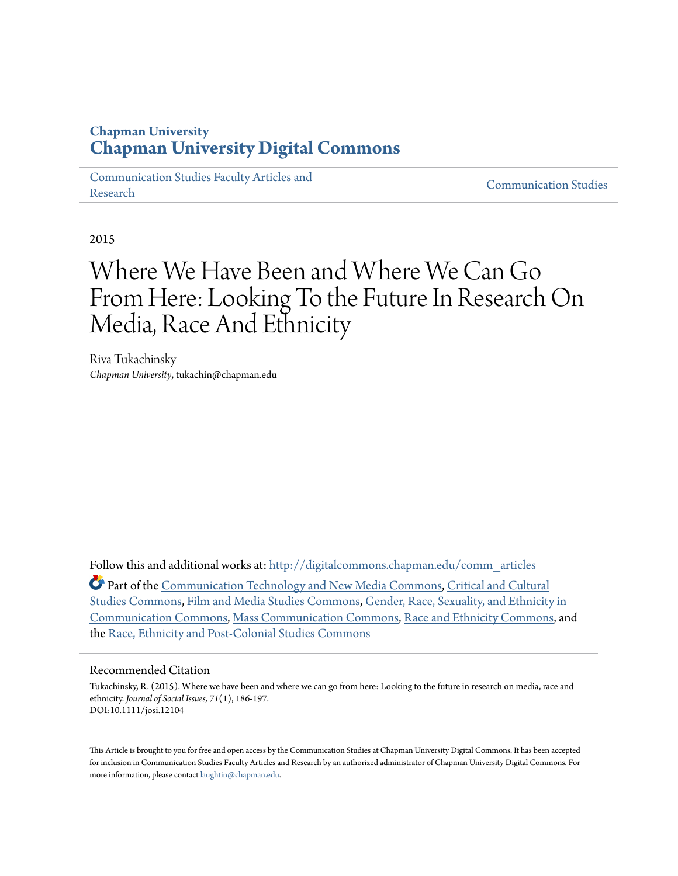## **Chapman University [Chapman University Digital Commons](http://digitalcommons.chapman.edu?utm_source=digitalcommons.chapman.edu%2Fcomm_articles%2F18&utm_medium=PDF&utm_campaign=PDFCoverPages)**

[Communication Studies Faculty Articles and](http://digitalcommons.chapman.edu/comm_articles?utm_source=digitalcommons.chapman.edu%2Fcomm_articles%2F18&utm_medium=PDF&utm_campaign=PDFCoverPages) [Research](http://digitalcommons.chapman.edu/comm_articles?utm_source=digitalcommons.chapman.edu%2Fcomm_articles%2F18&utm_medium=PDF&utm_campaign=PDFCoverPages) [Communication Studies](http://digitalcommons.chapman.edu/communication?utm_source=digitalcommons.chapman.edu%2Fcomm_articles%2F18&utm_medium=PDF&utm_campaign=PDFCoverPages)

2015

# Where We Have Been and Where We Can Go From Here: Looking To the Future In Research On Media, Race And Ethnicity

Riva Tukachinsky *Chapman University*, tukachin@chapman.edu

Follow this and additional works at: [http://digitalcommons.chapman.edu/comm\\_articles](http://digitalcommons.chapman.edu/comm_articles?utm_source=digitalcommons.chapman.edu%2Fcomm_articles%2F18&utm_medium=PDF&utm_campaign=PDFCoverPages)

Part of the [Communication Technology and New Media Commons](http://network.bepress.com/hgg/discipline/327?utm_source=digitalcommons.chapman.edu%2Fcomm_articles%2F18&utm_medium=PDF&utm_campaign=PDFCoverPages), [Critical and Cultural](http://network.bepress.com/hgg/discipline/328?utm_source=digitalcommons.chapman.edu%2Fcomm_articles%2F18&utm_medium=PDF&utm_campaign=PDFCoverPages) [Studies Commons](http://network.bepress.com/hgg/discipline/328?utm_source=digitalcommons.chapman.edu%2Fcomm_articles%2F18&utm_medium=PDF&utm_campaign=PDFCoverPages), [Film and Media Studies Commons](http://network.bepress.com/hgg/discipline/563?utm_source=digitalcommons.chapman.edu%2Fcomm_articles%2F18&utm_medium=PDF&utm_campaign=PDFCoverPages), [Gender, Race, Sexuality, and Ethnicity in](http://network.bepress.com/hgg/discipline/329?utm_source=digitalcommons.chapman.edu%2Fcomm_articles%2F18&utm_medium=PDF&utm_campaign=PDFCoverPages) [Communication Commons,](http://network.bepress.com/hgg/discipline/329?utm_source=digitalcommons.chapman.edu%2Fcomm_articles%2F18&utm_medium=PDF&utm_campaign=PDFCoverPages) [Mass Communication Commons](http://network.bepress.com/hgg/discipline/334?utm_source=digitalcommons.chapman.edu%2Fcomm_articles%2F18&utm_medium=PDF&utm_campaign=PDFCoverPages), [Race and Ethnicity Commons](http://network.bepress.com/hgg/discipline/426?utm_source=digitalcommons.chapman.edu%2Fcomm_articles%2F18&utm_medium=PDF&utm_campaign=PDFCoverPages), and the [Race, Ethnicity and Post-Colonial Studies Commons](http://network.bepress.com/hgg/discipline/566?utm_source=digitalcommons.chapman.edu%2Fcomm_articles%2F18&utm_medium=PDF&utm_campaign=PDFCoverPages)

#### Recommended Citation

Tukachinsky, R. (2015). Where we have been and where we can go from here: Looking to the future in research on media, race and ethnicity. *Journal of Social Issues, 71*(1), 186-197. DOI:10.1111/josi.12104

This Article is brought to you for free and open access by the Communication Studies at Chapman University Digital Commons. It has been accepted for inclusion in Communication Studies Faculty Articles and Research by an authorized administrator of Chapman University Digital Commons. For more information, please contact [laughtin@chapman.edu](mailto:laughtin@chapman.edu).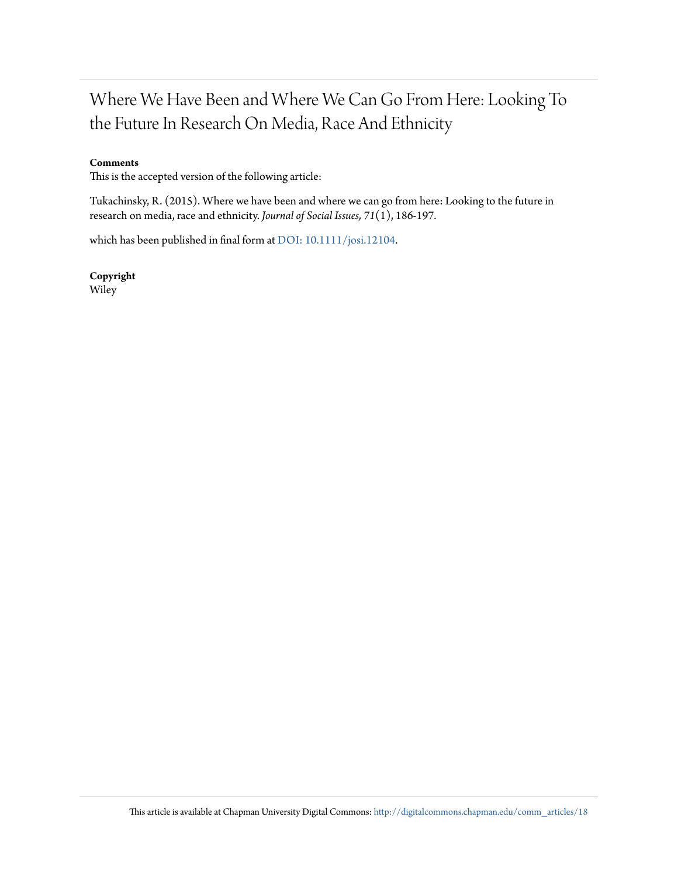## Where We Have Been and Where We Can Go From Here: Looking To the Future In Research On Media, Race And Ethnicity

#### **Comments**

This is the accepted version of the following article:

Tukachinsky, R. (2015). Where we have been and where we can go from here: Looking to the future in research on media, race and ethnicity. *Journal of Social Issues, 71*(1), 186-197.

which has been published in final form at [DOI: 10.1111/josi.12104](http://dx.doi.org/10.1111/josi.12104).

**Copyright** Wiley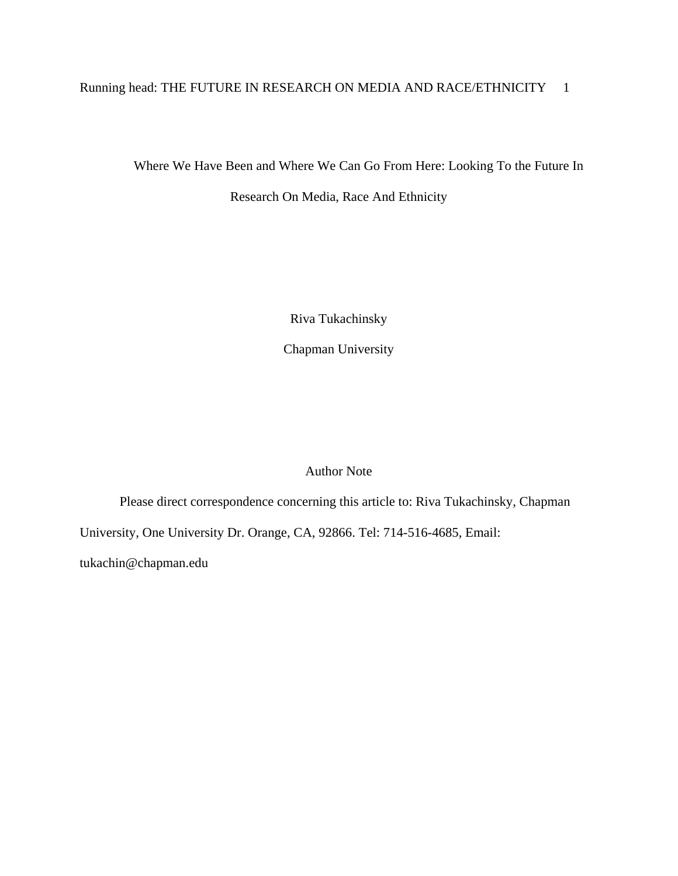## Running head: THE FUTURE IN RESEARCH ON MEDIA AND RACE/ETHNICITY 1

Where We Have Been and Where We Can Go From Here: Looking To the Future In

Research On Media, Race And Ethnicity

Riva Tukachinsky

Chapman University

## Author Note

Please direct correspondence concerning this article to: Riva Tukachinsky, Chapman University, One University Dr. Orange, CA, 92866. Tel: 714-516-4685, Email: tukachin@chapman.edu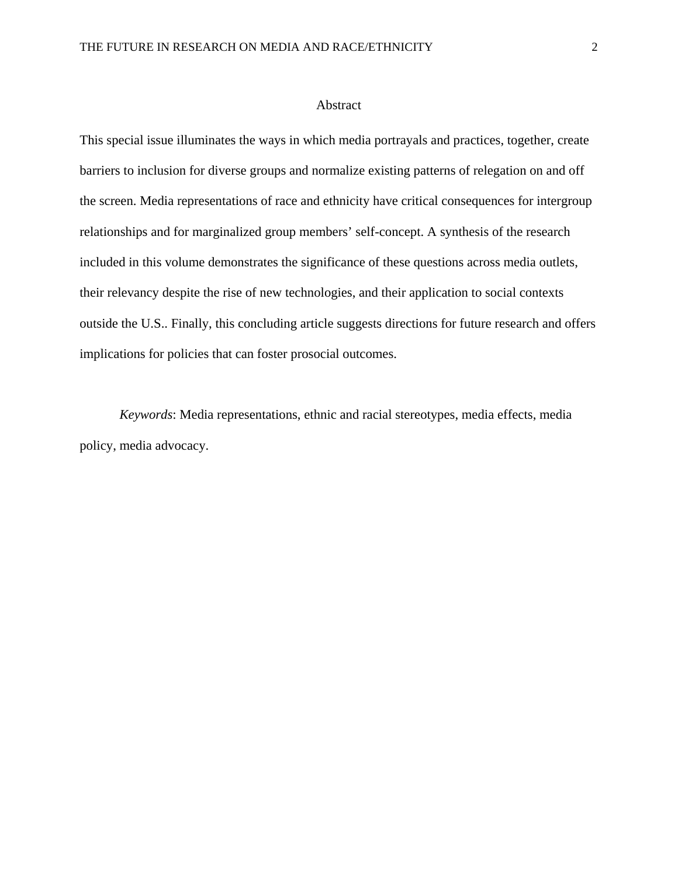#### Abstract

This special issue illuminates the ways in which media portrayals and practices, together, create barriers to inclusion for diverse groups and normalize existing patterns of relegation on and off the screen. Media representations of race and ethnicity have critical consequences for intergroup relationships and for marginalized group members' self-concept. A synthesis of the research included in this volume demonstrates the significance of these questions across media outlets, their relevancy despite the rise of new technologies, and their application to social contexts outside the U.S.. Finally, this concluding article suggests directions for future research and offers implications for policies that can foster prosocial outcomes.

*Keywords*: Media representations, ethnic and racial stereotypes, media effects, media policy, media advocacy.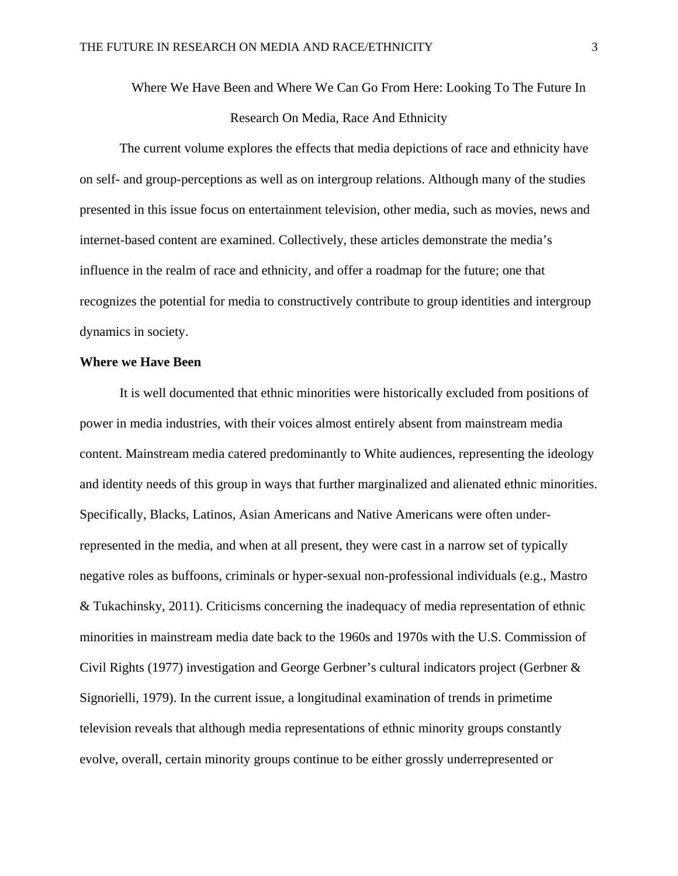Where We Have Been and Where We Can Go From Here: Looking To The Future In Research On Media, Race And Ethnicity

The current volume explores the effects that media depictions of race and ethnicity have on self- and group-perceptions as well as on intergroup relations. Although many of the studies presented in this issue focus on entertainment television, other media, such as movies, news and internet-based content are examined. Collectively, these articles demonstrate the media's influence in the realm of race and ethnicity, and offer a roadmap for the future; one that recognizes the potential for media to constructively contribute to group identities and intergroup dynamics in society.

#### **Where we Have Been**

It is well documented that ethnic minorities were historically excluded from positions of power in media industries, with their voices almost entirely absent from mainstream media content. Mainstream media catered predominantly to White audiences, representing the ideology and identity needs of this group in ways that further marginalized and alienated ethnic minorities. Specifically, Blacks, Latinos, Asian Americans and Native Americans were often underrepresented in the media, and when at all present, they were cast in a narrow set of typically negative roles as buffoons, criminals or hyper-sexual non-professional individuals (e.g., Mastro & Tukachinsky, 2011). Criticisms concerning the inadequacy of media representation of ethnic minorities in mainstream media date back to the 1960s and 1970s with the U.S. Commission of Civil Rights (1977) investigation and George Gerbner's cultural indicators project (Gerbner & Signorielli, 1979). In the current issue, a longitudinal examination of trends in primetime television reveals that although media representations of ethnic minority groups constantly evolve, overall, certain minority groups continue to be either grossly underrepresented or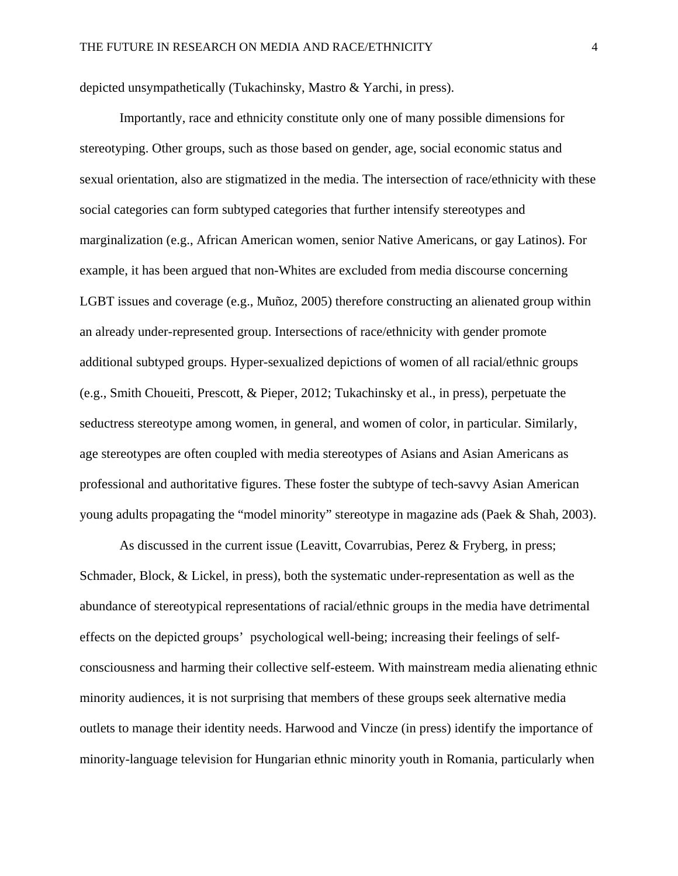depicted unsympathetically (Tukachinsky, Mastro & Yarchi, in press).

Importantly, race and ethnicity constitute only one of many possible dimensions for stereotyping. Other groups, such as those based on gender, age, social economic status and sexual orientation, also are stigmatized in the media. The intersection of race/ethnicity with these social categories can form subtyped categories that further intensify stereotypes and marginalization (e.g., African American women, senior Native Americans, or gay Latinos). For example, it has been argued that non-Whites are excluded from media discourse concerning LGBT issues and coverage (e.g., Muñoz, 2005) therefore constructing an alienated group within an already under-represented group. Intersections of race/ethnicity with gender promote additional subtyped groups. Hyper-sexualized depictions of women of all racial/ethnic groups (e.g., Smith Choueiti, Prescott, & Pieper, 2012; Tukachinsky et al., in press), perpetuate the seductress stereotype among women, in general, and women of color, in particular. Similarly, age stereotypes are often coupled with media stereotypes of Asians and Asian Americans as professional and authoritative figures. These foster the subtype of tech-savvy Asian American young adults propagating the "model minority" stereotype in magazine ads (Paek & Shah, 2003).

As discussed in the current issue (Leavitt, Covarrubias, Perez & Fryberg, in press; Schmader, Block, & Lickel, in press), both the systematic under-representation as well as the abundance of stereotypical representations of racial/ethnic groups in the media have detrimental effects on the depicted groups' psychological well-being; increasing their feelings of selfconsciousness and harming their collective self-esteem. With mainstream media alienating ethnic minority audiences, it is not surprising that members of these groups seek alternative media outlets to manage their identity needs. Harwood and Vincze (in press) identify the importance of minority-language television for Hungarian ethnic minority youth in Romania, particularly when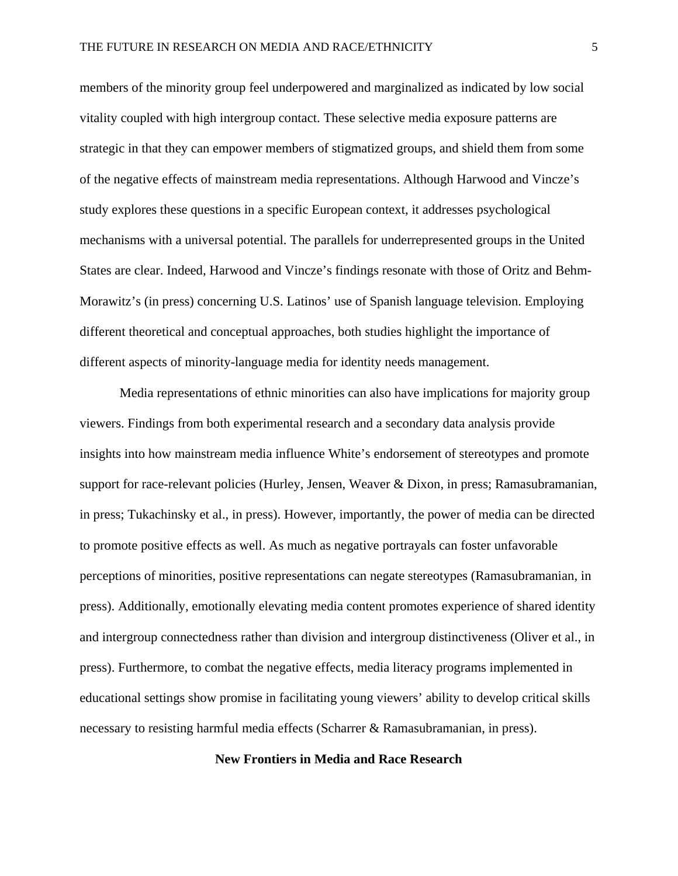members of the minority group feel underpowered and marginalized as indicated by low social vitality coupled with high intergroup contact. These selective media exposure patterns are strategic in that they can empower members of stigmatized groups, and shield them from some of the negative effects of mainstream media representations. Although Harwood and Vincze's study explores these questions in a specific European context, it addresses psychological mechanisms with a universal potential. The parallels for underrepresented groups in the United States are clear. Indeed, Harwood and Vincze's findings resonate with those of Oritz and Behm-Morawitz's (in press) concerning U.S. Latinos' use of Spanish language television. Employing different theoretical and conceptual approaches, both studies highlight the importance of different aspects of minority-language media for identity needs management.

Media representations of ethnic minorities can also have implications for majority group viewers. Findings from both experimental research and a secondary data analysis provide insights into how mainstream media influence White's endorsement of stereotypes and promote support for race-relevant policies (Hurley, Jensen, Weaver & Dixon, in press; Ramasubramanian, in press; Tukachinsky et al., in press). However, importantly, the power of media can be directed to promote positive effects as well. As much as negative portrayals can foster unfavorable perceptions of minorities, positive representations can negate stereotypes (Ramasubramanian, in press). Additionally, emotionally elevating media content promotes experience of shared identity and intergroup connectedness rather than division and intergroup distinctiveness (Oliver et al., in press). Furthermore, to combat the negative effects, media literacy programs implemented in educational settings show promise in facilitating young viewers' ability to develop critical skills necessary to resisting harmful media effects (Scharrer & Ramasubramanian, in press).

#### **New Frontiers in Media and Race Research**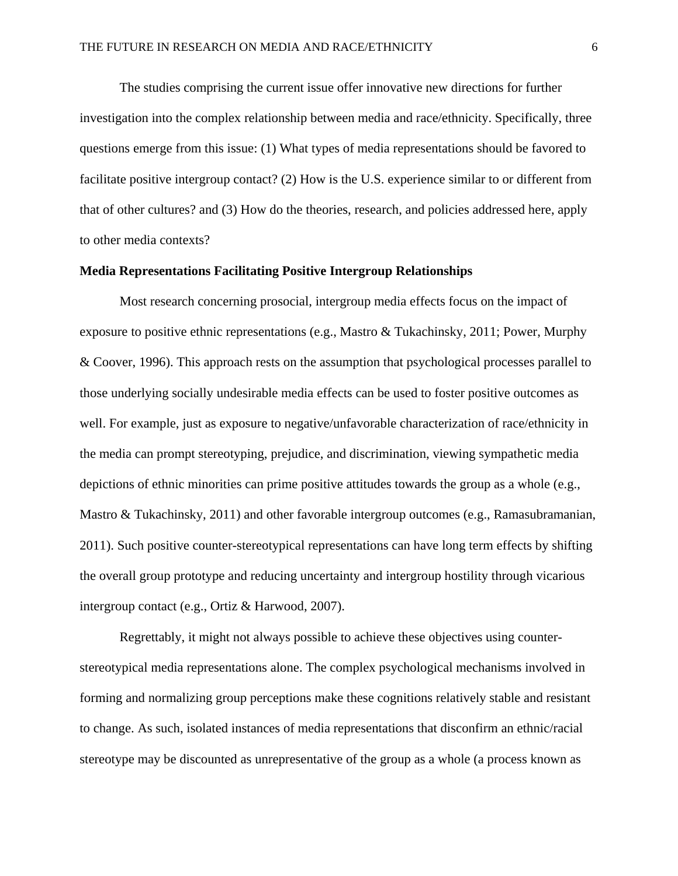The studies comprising the current issue offer innovative new directions for further investigation into the complex relationship between media and race/ethnicity. Specifically, three questions emerge from this issue: (1) What types of media representations should be favored to facilitate positive intergroup contact? (2) How is the U.S. experience similar to or different from that of other cultures? and (3) How do the theories, research, and policies addressed here, apply to other media contexts?

#### **Media Representations Facilitating Positive Intergroup Relationships**

Most research concerning prosocial, intergroup media effects focus on the impact of exposure to positive ethnic representations (e.g., Mastro & Tukachinsky, 2011; Power, Murphy & Coover, 1996). This approach rests on the assumption that psychological processes parallel to those underlying socially undesirable media effects can be used to foster positive outcomes as well. For example, just as exposure to negative/unfavorable characterization of race/ethnicity in the media can prompt stereotyping, prejudice, and discrimination, viewing sympathetic media depictions of ethnic minorities can prime positive attitudes towards the group as a whole (e.g., Mastro & Tukachinsky, 2011) and other favorable intergroup outcomes (e.g., Ramasubramanian, 2011). Such positive counter-stereotypical representations can have long term effects by shifting the overall group prototype and reducing uncertainty and intergroup hostility through vicarious intergroup contact (e.g., Ortiz & Harwood, 2007).

Regrettably, it might not always possible to achieve these objectives using counterstereotypical media representations alone. The complex psychological mechanisms involved in forming and normalizing group perceptions make these cognitions relatively stable and resistant to change. As such, isolated instances of media representations that disconfirm an ethnic/racial stereotype may be discounted as unrepresentative of the group as a whole (a process known as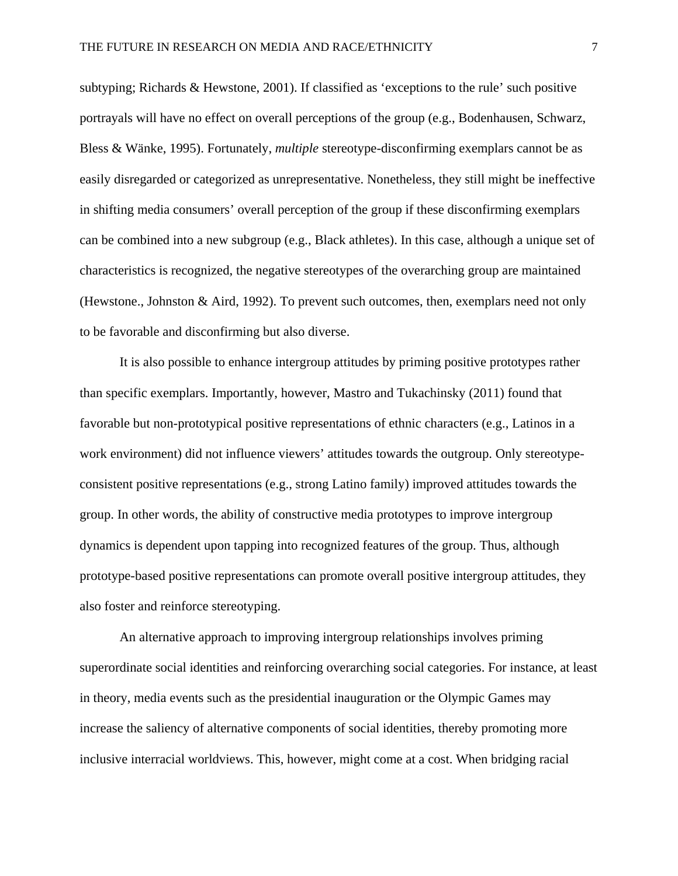subtyping; Richards & Hewstone, 2001). If classified as 'exceptions to the rule' such positive portrayals will have no effect on overall perceptions of the group (e.g., Bodenhausen, Schwarz, Bless & Wänke, 1995). Fortunately, *multiple* stereotype-disconfirming exemplars cannot be as easily disregarded or categorized as unrepresentative. Nonetheless, they still might be ineffective in shifting media consumers' overall perception of the group if these disconfirming exemplars can be combined into a new subgroup (e.g., Black athletes). In this case, although a unique set of characteristics is recognized, the negative stereotypes of the overarching group are maintained (Hewstone., Johnston & Aird, 1992). To prevent such outcomes, then, exemplars need not only to be favorable and disconfirming but also diverse.

It is also possible to enhance intergroup attitudes by priming positive prototypes rather than specific exemplars. Importantly, however, Mastro and Tukachinsky (2011) found that favorable but non-prototypical positive representations of ethnic characters (e.g., Latinos in a work environment) did not influence viewers' attitudes towards the outgroup. Only stereotypeconsistent positive representations (e.g., strong Latino family) improved attitudes towards the group. In other words, the ability of constructive media prototypes to improve intergroup dynamics is dependent upon tapping into recognized features of the group. Thus, although prototype-based positive representations can promote overall positive intergroup attitudes, they also foster and reinforce stereotyping.

An alternative approach to improving intergroup relationships involves priming superordinate social identities and reinforcing overarching social categories. For instance, at least in theory, media events such as the presidential inauguration or the Olympic Games may increase the saliency of alternative components of social identities, thereby promoting more inclusive interracial worldviews. This, however, might come at a cost. When bridging racial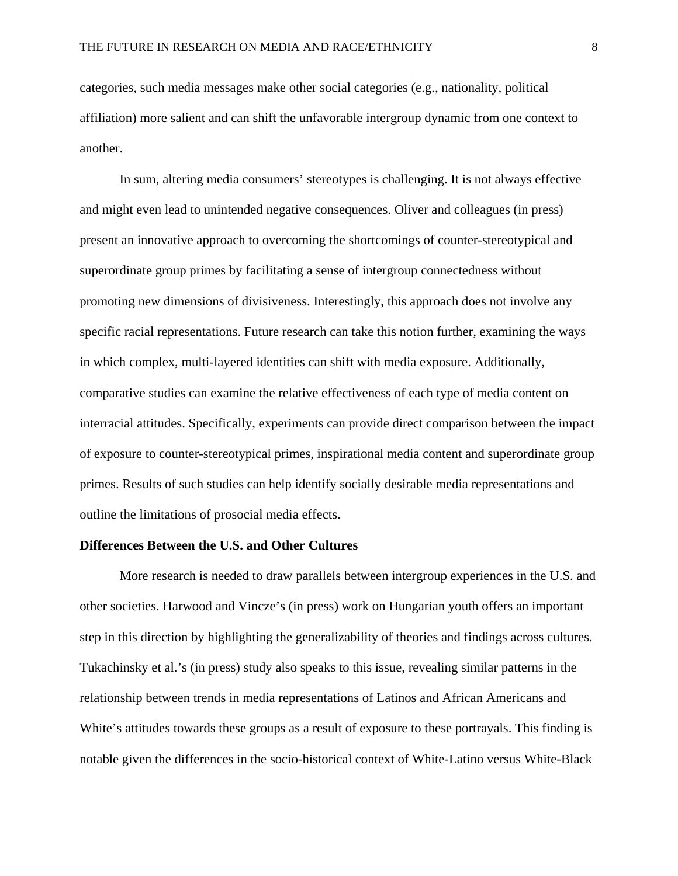categories, such media messages make other social categories (e.g., nationality, political affiliation) more salient and can shift the unfavorable intergroup dynamic from one context to another.

In sum, altering media consumers' stereotypes is challenging. It is not always effective and might even lead to unintended negative consequences. Oliver and colleagues (in press) present an innovative approach to overcoming the shortcomings of counter-stereotypical and superordinate group primes by facilitating a sense of intergroup connectedness without promoting new dimensions of divisiveness. Interestingly, this approach does not involve any specific racial representations. Future research can take this notion further, examining the ways in which complex, multi-layered identities can shift with media exposure. Additionally, comparative studies can examine the relative effectiveness of each type of media content on interracial attitudes. Specifically, experiments can provide direct comparison between the impact of exposure to counter-stereotypical primes, inspirational media content and superordinate group primes. Results of such studies can help identify socially desirable media representations and outline the limitations of prosocial media effects.

#### **Differences Between the U.S. and Other Cultures**

More research is needed to draw parallels between intergroup experiences in the U.S. and other societies. Harwood and Vincze's (in press) work on Hungarian youth offers an important step in this direction by highlighting the generalizability of theories and findings across cultures. Tukachinsky et al.'s (in press) study also speaks to this issue, revealing similar patterns in the relationship between trends in media representations of Latinos and African Americans and White's attitudes towards these groups as a result of exposure to these portrayals. This finding is notable given the differences in the socio-historical context of White-Latino versus White-Black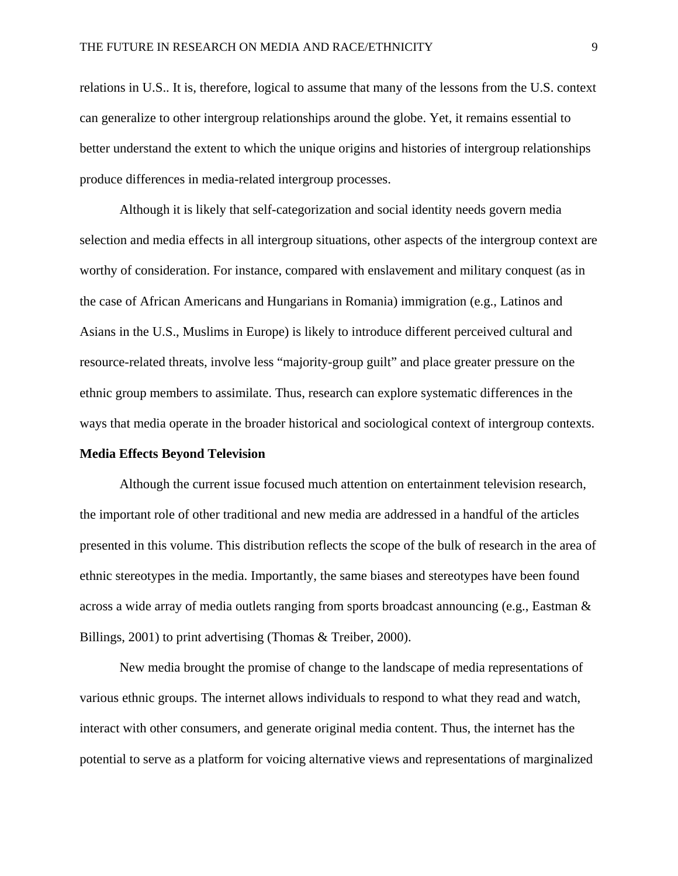relations in U.S.. It is, therefore, logical to assume that many of the lessons from the U.S. context can generalize to other intergroup relationships around the globe. Yet, it remains essential to better understand the extent to which the unique origins and histories of intergroup relationships produce differences in media-related intergroup processes.

Although it is likely that self-categorization and social identity needs govern media selection and media effects in all intergroup situations, other aspects of the intergroup context are worthy of consideration. For instance, compared with enslavement and military conquest (as in the case of African Americans and Hungarians in Romania) immigration (e.g., Latinos and Asians in the U.S., Muslims in Europe) is likely to introduce different perceived cultural and resource-related threats, involve less "majority-group guilt" and place greater pressure on the ethnic group members to assimilate. Thus, research can explore systematic differences in the ways that media operate in the broader historical and sociological context of intergroup contexts.

#### **Media Effects Beyond Television**

Although the current issue focused much attention on entertainment television research, the important role of other traditional and new media are addressed in a handful of the articles presented in this volume. This distribution reflects the scope of the bulk of research in the area of ethnic stereotypes in the media. Importantly, the same biases and stereotypes have been found across a wide array of media outlets ranging from sports broadcast announcing (e.g., Eastman & Billings, 2001) to print advertising (Thomas & Treiber, 2000).

New media brought the promise of change to the landscape of media representations of various ethnic groups. The internet allows individuals to respond to what they read and watch, interact with other consumers, and generate original media content. Thus, the internet has the potential to serve as a platform for voicing alternative views and representations of marginalized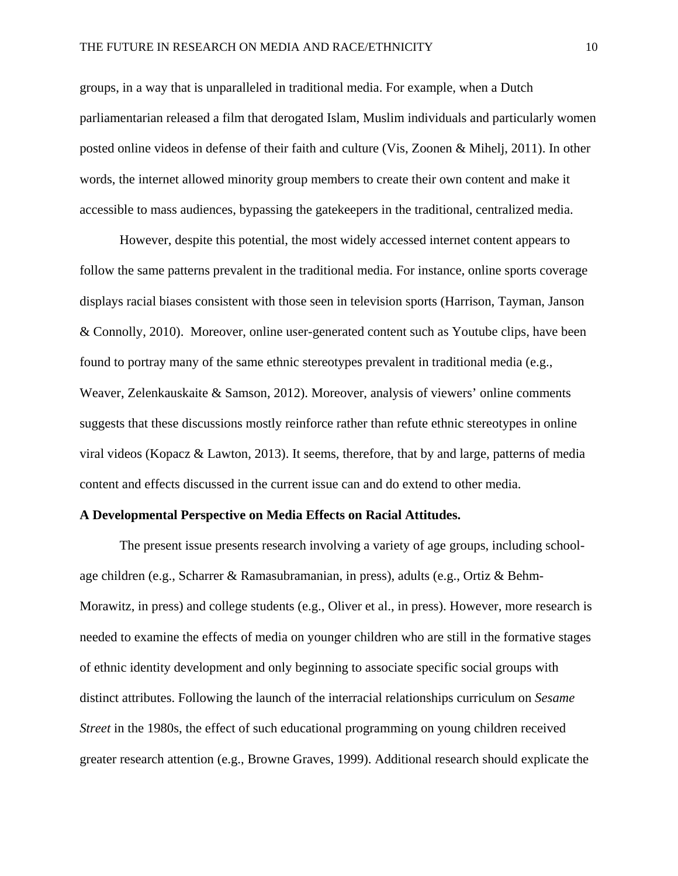groups, in a way that is unparalleled in traditional media. For example, when a Dutch parliamentarian released a film that derogated Islam, Muslim individuals and particularly women posted online videos in defense of their faith and culture (Vis, Zoonen & Mihelj, 2011). In other words, the internet allowed minority group members to create their own content and make it accessible to mass audiences, bypassing the gatekeepers in the traditional, centralized media.

However, despite this potential, the most widely accessed internet content appears to follow the same patterns prevalent in the traditional media. For instance, online sports coverage displays racial biases consistent with those seen in television sports (Harrison, Tayman, Janson & Connolly, 2010). Moreover, online user-generated content such as Youtube clips, have been found to portray many of the same ethnic stereotypes prevalent in traditional media (e.g., Weaver, Zelenkauskaite & Samson, 2012). Moreover, analysis of viewers' online comments suggests that these discussions mostly reinforce rather than refute ethnic stereotypes in online viral videos (Kopacz & Lawton, 2013). It seems, therefore, that by and large, patterns of media content and effects discussed in the current issue can and do extend to other media.

#### **A Developmental Perspective on Media Effects on Racial Attitudes.**

The present issue presents research involving a variety of age groups, including schoolage children (e.g., Scharrer & Ramasubramanian, in press), adults (e.g., Ortiz & Behm-Morawitz, in press) and college students (e.g., Oliver et al., in press). However, more research is needed to examine the effects of media on younger children who are still in the formative stages of ethnic identity development and only beginning to associate specific social groups with distinct attributes. Following the launch of the interracial relationships curriculum on *Sesame Street* in the 1980s, the effect of such educational programming on young children received greater research attention (e.g., Browne Graves, 1999). Additional research should explicate the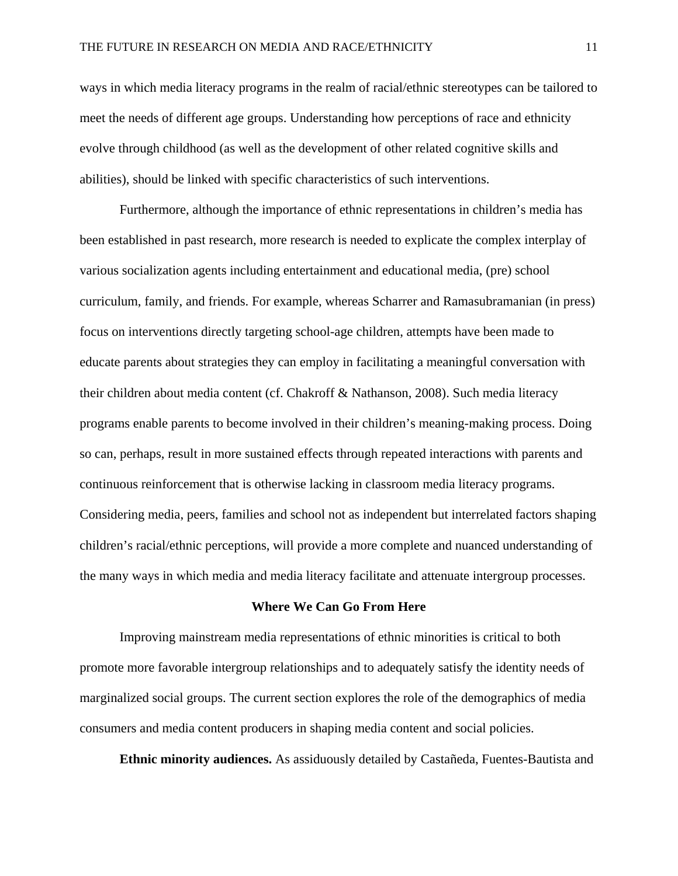ways in which media literacy programs in the realm of racial/ethnic stereotypes can be tailored to meet the needs of different age groups. Understanding how perceptions of race and ethnicity evolve through childhood (as well as the development of other related cognitive skills and abilities), should be linked with specific characteristics of such interventions.

Furthermore, although the importance of ethnic representations in children's media has been established in past research, more research is needed to explicate the complex interplay of various socialization agents including entertainment and educational media, (pre) school curriculum, family, and friends. For example, whereas Scharrer and Ramasubramanian (in press) focus on interventions directly targeting school-age children, attempts have been made to educate parents about strategies they can employ in facilitating a meaningful conversation with their children about media content (cf. Chakroff & Nathanson, 2008). Such media literacy programs enable parents to become involved in their children's meaning-making process. Doing so can, perhaps, result in more sustained effects through repeated interactions with parents and continuous reinforcement that is otherwise lacking in classroom media literacy programs. Considering media, peers, families and school not as independent but interrelated factors shaping children's racial/ethnic perceptions, will provide a more complete and nuanced understanding of the many ways in which media and media literacy facilitate and attenuate intergroup processes.

#### **Where We Can Go From Here**

Improving mainstream media representations of ethnic minorities is critical to both promote more favorable intergroup relationships and to adequately satisfy the identity needs of marginalized social groups. The current section explores the role of the demographics of media consumers and media content producers in shaping media content and social policies.

**Ethnic minority audiences.** As assiduously detailed by Castañeda, Fuentes-Bautista and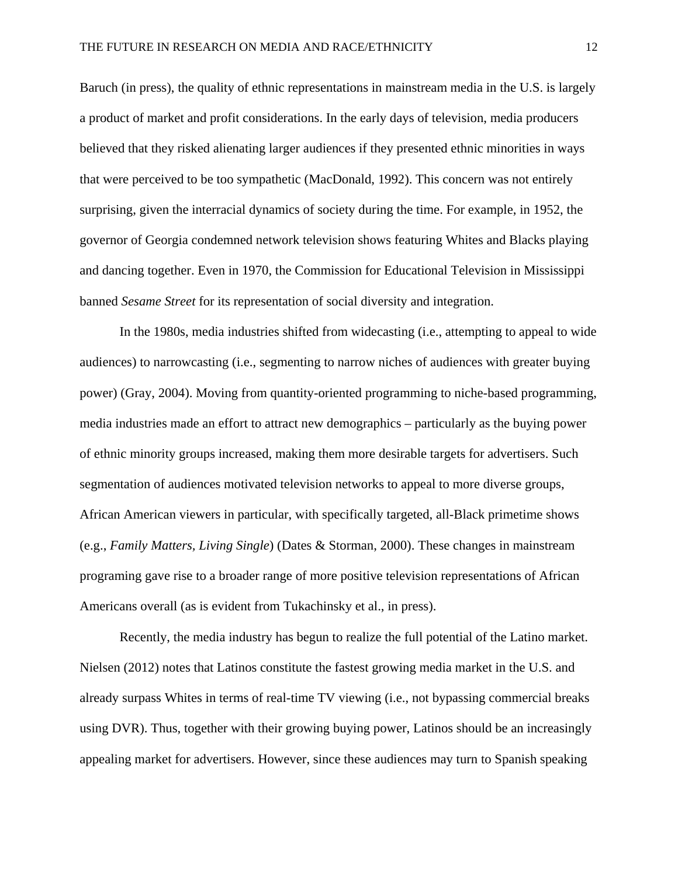Baruch (in press), the quality of ethnic representations in mainstream media in the U.S. is largely a product of market and profit considerations. In the early days of television, media producers believed that they risked alienating larger audiences if they presented ethnic minorities in ways that were perceived to be too sympathetic (MacDonald, 1992). This concern was not entirely surprising, given the interracial dynamics of society during the time. For example, in 1952, the governor of Georgia condemned network television shows featuring Whites and Blacks playing and dancing together. Even in 1970, the Commission for Educational Television in Mississippi banned *Sesame Street* for its representation of social diversity and integration.

In the 1980s, media industries shifted from widecasting (i.e., attempting to appeal to wide audiences) to narrowcasting (i.e., segmenting to narrow niches of audiences with greater buying power) (Gray, 2004). Moving from quantity-oriented programming to niche-based programming, media industries made an effort to attract new demographics – particularly as the buying power of ethnic minority groups increased, making them more desirable targets for advertisers. Such segmentation of audiences motivated television networks to appeal to more diverse groups, African American viewers in particular, with specifically targeted, all-Black primetime shows (e.g., *Family Matters, Living Single*) (Dates & Storman, 2000). These changes in mainstream programing gave rise to a broader range of more positive television representations of African Americans overall (as is evident from Tukachinsky et al., in press).

Recently, the media industry has begun to realize the full potential of the Latino market. Nielsen (2012) notes that Latinos constitute the fastest growing media market in the U.S. and already surpass Whites in terms of real-time TV viewing (i.e., not bypassing commercial breaks using DVR). Thus, together with their growing buying power, Latinos should be an increasingly appealing market for advertisers. However, since these audiences may turn to Spanish speaking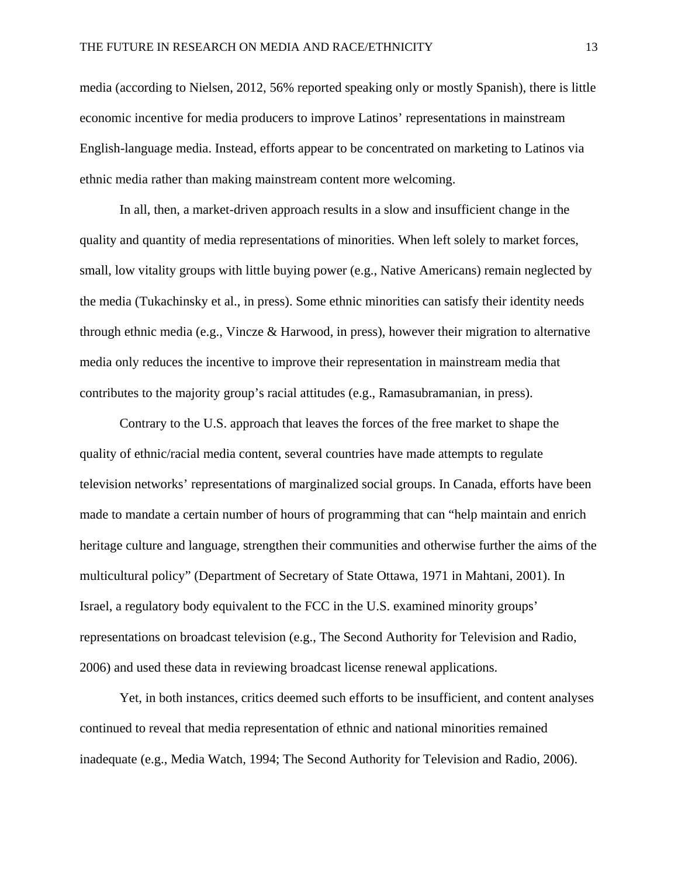media (according to Nielsen, 2012, 56% reported speaking only or mostly Spanish), there is little economic incentive for media producers to improve Latinos' representations in mainstream English-language media. Instead, efforts appear to be concentrated on marketing to Latinos via ethnic media rather than making mainstream content more welcoming.

In all, then, a market-driven approach results in a slow and insufficient change in the quality and quantity of media representations of minorities. When left solely to market forces, small, low vitality groups with little buying power (e.g., Native Americans) remain neglected by the media (Tukachinsky et al., in press). Some ethnic minorities can satisfy their identity needs through ethnic media (e.g., Vincze & Harwood, in press), however their migration to alternative media only reduces the incentive to improve their representation in mainstream media that contributes to the majority group's racial attitudes (e.g., Ramasubramanian, in press).

Contrary to the U.S. approach that leaves the forces of the free market to shape the quality of ethnic/racial media content, several countries have made attempts to regulate television networks' representations of marginalized social groups. In Canada, efforts have been made to mandate a certain number of hours of programming that can "help maintain and enrich heritage culture and language, strengthen their communities and otherwise further the aims of the multicultural policy" (Department of Secretary of State Ottawa, 1971 in Mahtani, 2001). In Israel, a regulatory body equivalent to the FCC in the U.S. examined minority groups' representations on broadcast television (e.g., The Second Authority for Television and Radio, 2006) and used these data in reviewing broadcast license renewal applications.

Yet, in both instances, critics deemed such efforts to be insufficient, and content analyses continued to reveal that media representation of ethnic and national minorities remained inadequate (e.g., Media Watch, 1994; The Second Authority for Television and Radio, 2006).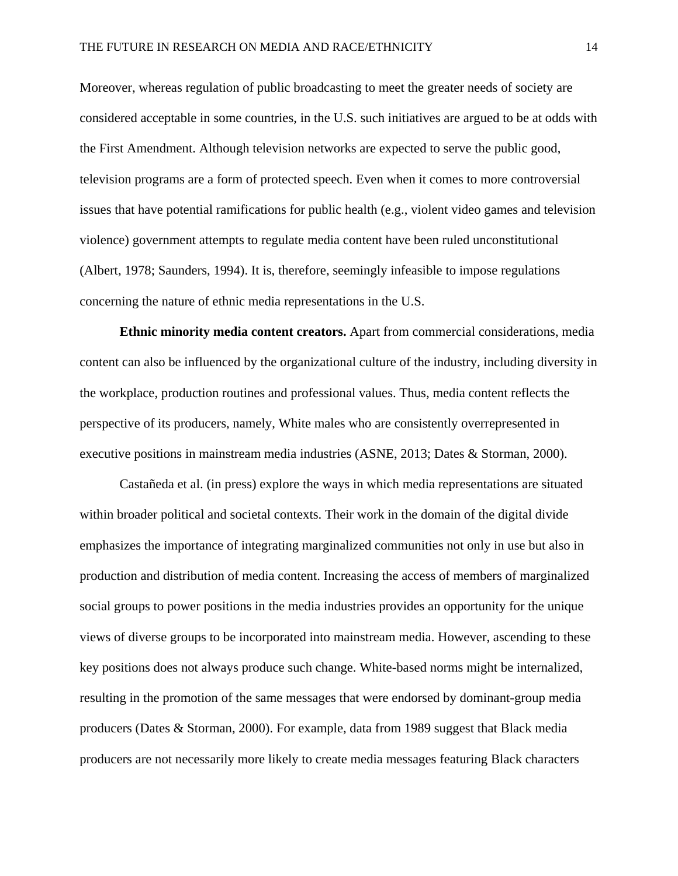Moreover, whereas regulation of public broadcasting to meet the greater needs of society are considered acceptable in some countries, in the U.S. such initiatives are argued to be at odds with the First Amendment. Although television networks are expected to serve the public good, television programs are a form of protected speech. Even when it comes to more controversial issues that have potential ramifications for public health (e.g., violent video games and television violence) government attempts to regulate media content have been ruled unconstitutional (Albert, 1978; Saunders, 1994). It is, therefore, seemingly infeasible to impose regulations concerning the nature of ethnic media representations in the U.S.

**Ethnic minority media content creators.** Apart from commercial considerations, media content can also be influenced by the organizational culture of the industry, including diversity in the workplace, production routines and professional values. Thus, media content reflects the perspective of its producers, namely, White males who are consistently overrepresented in executive positions in mainstream media industries (ASNE, 2013; Dates & Storman, 2000).

Castañeda et al. (in press) explore the ways in which media representations are situated within broader political and societal contexts. Their work in the domain of the digital divide emphasizes the importance of integrating marginalized communities not only in use but also in production and distribution of media content. Increasing the access of members of marginalized social groups to power positions in the media industries provides an opportunity for the unique views of diverse groups to be incorporated into mainstream media. However, ascending to these key positions does not always produce such change. White-based norms might be internalized, resulting in the promotion of the same messages that were endorsed by dominant-group media producers (Dates & Storman, 2000). For example, data from 1989 suggest that Black media producers are not necessarily more likely to create media messages featuring Black characters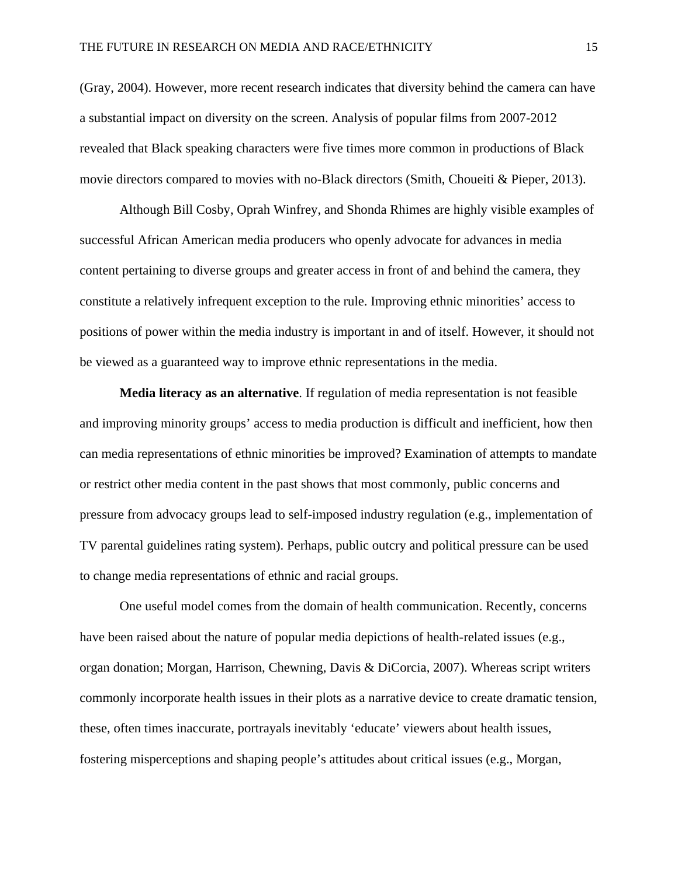(Gray, 2004). However, more recent research indicates that diversity behind the camera can have a substantial impact on diversity on the screen. Analysis of popular films from 2007-2012 revealed that Black speaking characters were five times more common in productions of Black movie directors compared to movies with no-Black directors (Smith, Choueiti & Pieper, 2013).

Although Bill Cosby, Oprah Winfrey, and Shonda Rhimes are highly visible examples of successful African American media producers who openly advocate for advances in media content pertaining to diverse groups and greater access in front of and behind the camera, they constitute a relatively infrequent exception to the rule. Improving ethnic minorities' access to positions of power within the media industry is important in and of itself. However, it should not be viewed as a guaranteed way to improve ethnic representations in the media.

**Media literacy as an alternative**. If regulation of media representation is not feasible and improving minority groups' access to media production is difficult and inefficient, how then can media representations of ethnic minorities be improved? Examination of attempts to mandate or restrict other media content in the past shows that most commonly, public concerns and pressure from advocacy groups lead to self-imposed industry regulation (e.g., implementation of TV parental guidelines rating system). Perhaps, public outcry and political pressure can be used to change media representations of ethnic and racial groups.

One useful model comes from the domain of health communication. Recently, concerns have been raised about the nature of popular media depictions of health-related issues (e.g., organ donation; Morgan, Harrison, Chewning, Davis & DiCorcia, 2007). Whereas script writers commonly incorporate health issues in their plots as a narrative device to create dramatic tension, these, often times inaccurate, portrayals inevitably 'educate' viewers about health issues, fostering misperceptions and shaping people's attitudes about critical issues (e.g., Morgan,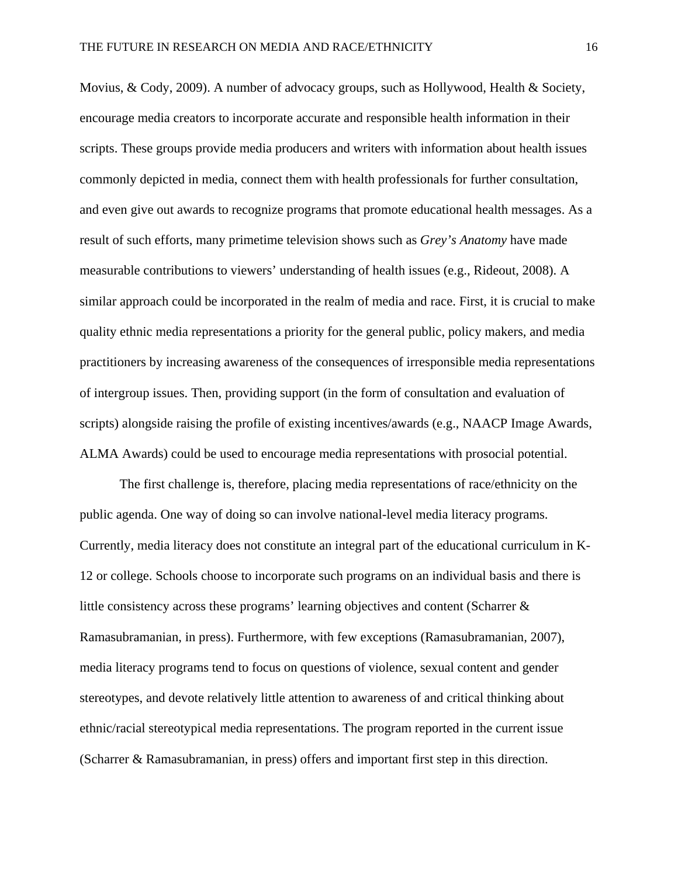Movius, & Cody, 2009). A number of advocacy groups, such as Hollywood, Health & Society, encourage media creators to incorporate accurate and responsible health information in their scripts. These groups provide media producers and writers with information about health issues commonly depicted in media, connect them with health professionals for further consultation, and even give out awards to recognize programs that promote educational health messages. As a result of such efforts, many primetime television shows such as *Grey's Anatomy* have made measurable contributions to viewers' understanding of health issues (e.g., Rideout, 2008). A similar approach could be incorporated in the realm of media and race. First, it is crucial to make quality ethnic media representations a priority for the general public, policy makers, and media practitioners by increasing awareness of the consequences of irresponsible media representations of intergroup issues. Then, providing support (in the form of consultation and evaluation of scripts) alongside raising the profile of existing incentives/awards (e.g., NAACP Image Awards, ALMA Awards) could be used to encourage media representations with prosocial potential.

The first challenge is, therefore, placing media representations of race/ethnicity on the public agenda. One way of doing so can involve national-level media literacy programs. Currently, media literacy does not constitute an integral part of the educational curriculum in K-12 or college. Schools choose to incorporate such programs on an individual basis and there is little consistency across these programs' learning objectives and content (Scharrer & Ramasubramanian, in press). Furthermore, with few exceptions (Ramasubramanian, 2007), media literacy programs tend to focus on questions of violence, sexual content and gender stereotypes, and devote relatively little attention to awareness of and critical thinking about ethnic/racial stereotypical media representations. The program reported in the current issue (Scharrer & Ramasubramanian, in press) offers and important first step in this direction.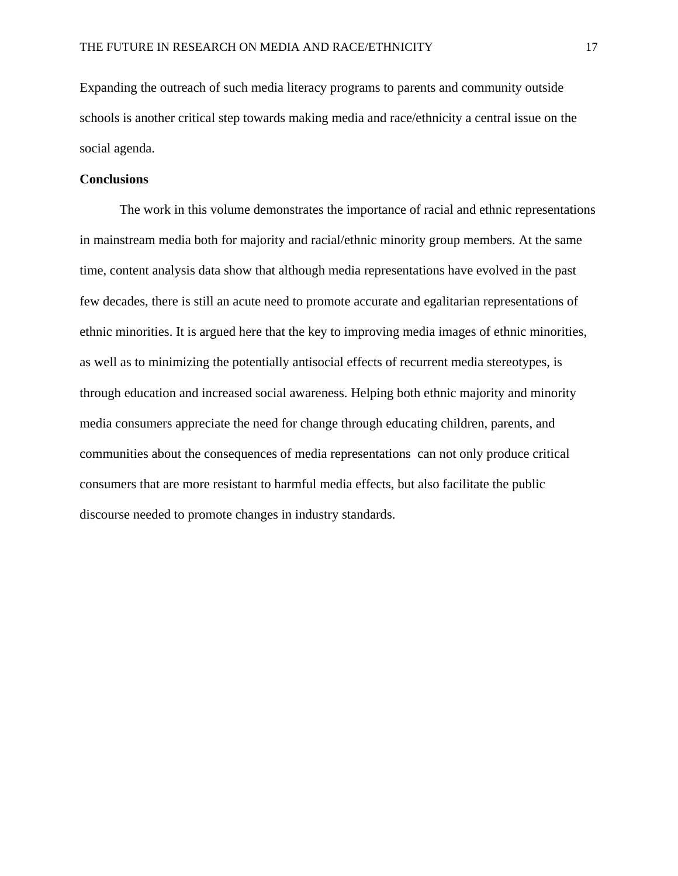Expanding the outreach of such media literacy programs to parents and community outside schools is another critical step towards making media and race/ethnicity a central issue on the social agenda.

#### **Conclusions**

The work in this volume demonstrates the importance of racial and ethnic representations in mainstream media both for majority and racial/ethnic minority group members. At the same time, content analysis data show that although media representations have evolved in the past few decades, there is still an acute need to promote accurate and egalitarian representations of ethnic minorities. It is argued here that the key to improving media images of ethnic minorities, as well as to minimizing the potentially antisocial effects of recurrent media stereotypes, is through education and increased social awareness. Helping both ethnic majority and minority media consumers appreciate the need for change through educating children, parents, and communities about the consequences of media representations can not only produce critical consumers that are more resistant to harmful media effects, but also facilitate the public discourse needed to promote changes in industry standards.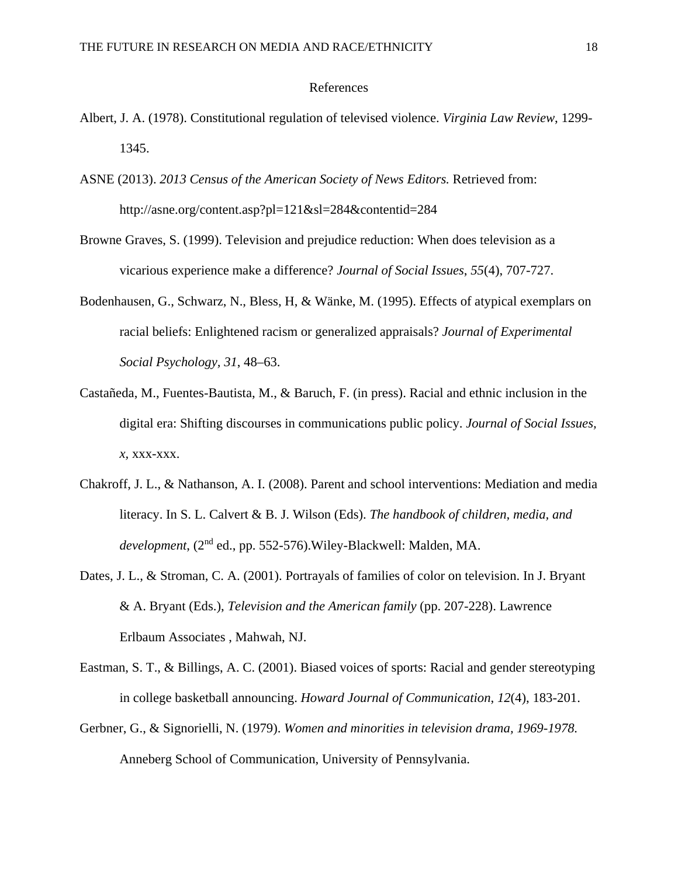#### References

- Albert, J. A. (1978). Constitutional regulation of televised violence. *Virginia Law Review*, 1299- 1345.
- ASNE (2013). *2013 Census of the American Society of News Editors.* Retrieved from: http://asne.org/content.asp?pl=121&sl=284&contentid=284
- Browne Graves, S. (1999). Television and prejudice reduction: When does television as a vicarious experience make a difference? *Journal of Social Issues*, *55*(4), 707-727.
- Bodenhausen, G., Schwarz, N., Bless, H, & Wänke, M. (1995). Effects of atypical exemplars on racial beliefs: Enlightened racism or generalized appraisals? *Journal of Experimental Social Psychology, 31*, 48–63.
- Castañeda, M., Fuentes-Bautista, M., & Baruch, F. (in press). Racial and ethnic inclusion in the digital era: Shifting discourses in communications public policy. *Journal of Social Issues, x,* xxx-xxx.
- Chakroff, J. L., & Nathanson, A. I. (2008). Parent and school interventions: Mediation and media literacy. In S. L. Calvert & B. J. Wilson (Eds). *The handbook of children, media, and development*, (2nd ed., pp. 552-576).Wiley-Blackwell: Malden, MA.
- Dates, J. L., & Stroman, C. A. (2001). Portrayals of families of color on television. In J. Bryant & A. Bryant (Eds.), *Television and the American family* (pp. 207-228). Lawrence Erlbaum Associates , Mahwah, NJ.
- Eastman, S. T., & Billings, A. C. (2001). Biased voices of sports: Racial and gender stereotyping in college basketball announcing. *Howard Journal of Communication*, *12*(4), 183-201.
- Gerbner, G., & Signorielli, N. (1979). *Women and minorities in television drama, 1969-1978.*  Anneberg School of Communication, University of Pennsylvania.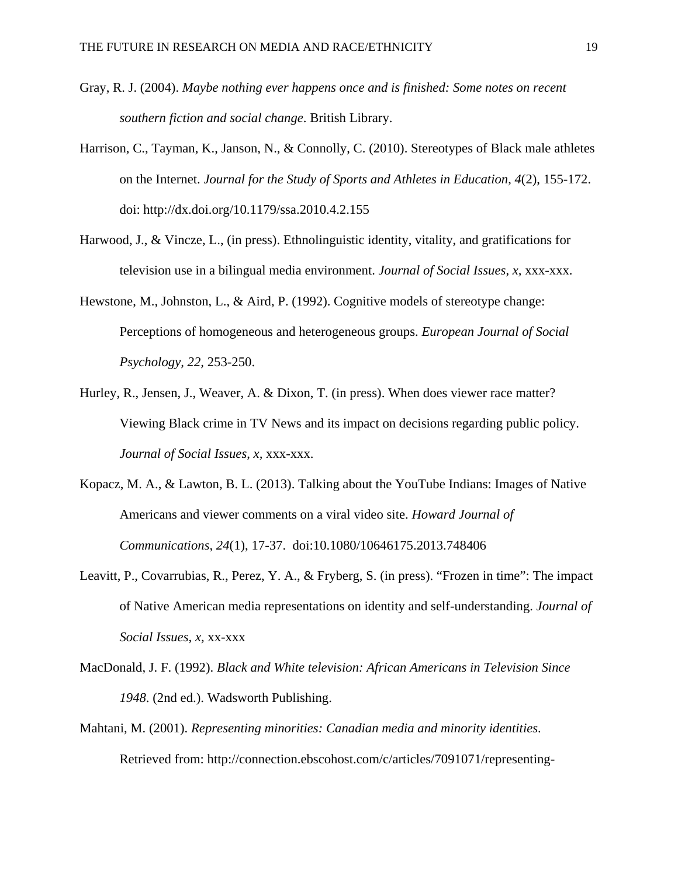- Gray, R. J. (2004). *Maybe nothing ever happens once and is finished: Some notes on recent southern fiction and social change*. British Library.
- Harrison, C., Tayman, K., Janson, N., & Connolly, C. (2010). Stereotypes of Black male athletes on the Internet. *Journal for the Study of Sports and Athletes in Education*, *4*(2), 155-172. doi: http://dx.doi.org/10.1179/ssa.2010.4.2.155
- Harwood, J., & Vincze, L., (in press). Ethnolinguistic identity, vitality, and gratifications for television use in a bilingual media environment. *Journal of Social Issues*, *x,* xxx-xxx.
- Hewstone, M., Johnston, L., & Aird, P. (1992). Cognitive models of stereotype change: Perceptions of homogeneous and heterogeneous groups. *European Journal of Social Psychology, 22,* 253-250.
- Hurley, R., Jensen, J., Weaver, A. & Dixon, T. (in press). When does viewer race matter? Viewing Black crime in TV News and its impact on decisions regarding public policy. *Journal of Social Issues*, *x,* xxx-xxx.
- Kopacz, M. A., & Lawton, B. L. (2013). Talking about the YouTube Indians: Images of Native Americans and viewer comments on a viral video site. *Howard Journal of Communications*, *24*(1), 17-37. doi:10.1080/10646175.2013.748406
- Leavitt, P., Covarrubias, R., Perez, Y. A., & Fryberg, S. (in press). "Frozen in time": The impact of Native American media representations on identity and self-understanding. *Journal of Social Issues, x,* xx-xxx
- MacDonald, J. F. (1992). *Black and White television: African Americans in Television Since 1948*. (2nd ed.). Wadsworth Publishing.
- Mahtani, M. (2001). *Representing minorities: Canadian media and minority identities*. Retrieved from: http://connection.ebscohost.com/c/articles/7091071/representing-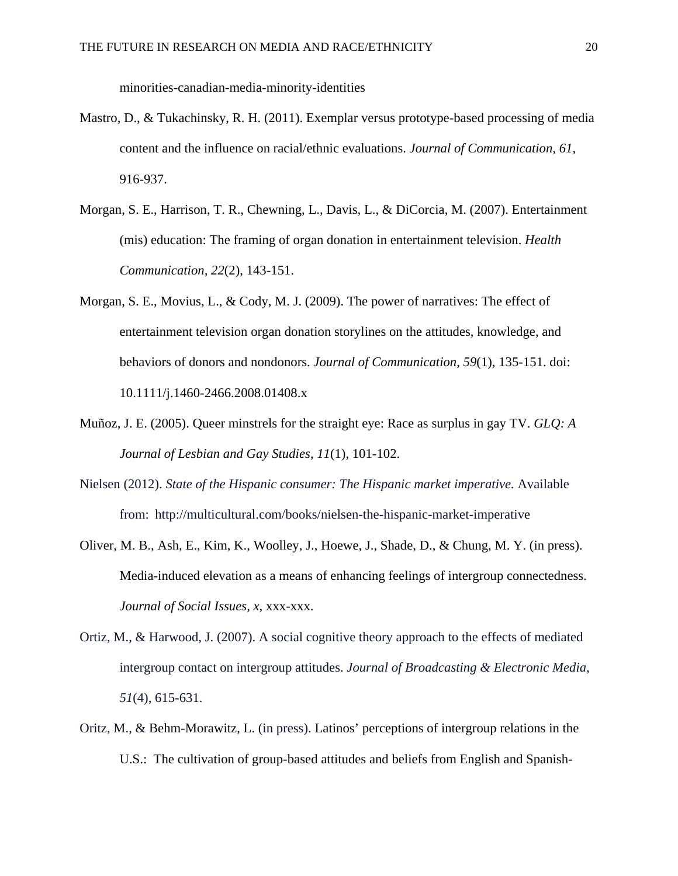minorities-canadian-media-minority-identities

- Mastro, D., & Tukachinsky, R. H. (2011). Exemplar versus prototype-based processing of media content and the influence on racial/ethnic evaluations. *Journal of Communication, 61*, 916-937.
- Morgan, S. E., Harrison, T. R., Chewning, L., Davis, L., & DiCorcia, M. (2007). Entertainment (mis) education: The framing of organ donation in entertainment television. *Health Communication, 22*(2), 143-151.
- Morgan, S. E., Movius, L., & Cody, M. J. (2009). The power of narratives: The effect of entertainment television organ donation storylines on the attitudes, knowledge, and behaviors of donors and nondonors. *Journal of Communication, 59*(1), 135-151. doi: 10.1111/j.1460-2466.2008.01408.x
- Muñoz, J. E. (2005). Queer minstrels for the straight eye: Race as surplus in gay TV. *GLQ: A Journal of Lesbian and Gay Studies*, *11*(1), 101-102.
- Nielsen (2012). *State of the Hispanic consumer: The Hispanic market imperative.* Available from: http://multicultural.com/books/nielsen-the-hispanic-market-imperative
- Oliver, M. B., Ash, E., Kim, K., Woolley, J., Hoewe, J., Shade, D., & Chung, M. Y. (in press). Media-induced elevation as a means of enhancing feelings of intergroup connectedness. *Journal of Social Issues, x,* xxx-xxx.
- Ortiz, M., & Harwood, J. (2007). A social cognitive theory approach to the effects of mediated intergroup contact on intergroup attitudes. *Journal of Broadcasting & Electronic Media, 51*(4), 615-631.
- Oritz, M., & Behm-Morawitz, L. (in press). Latinos' perceptions of intergroup relations in the U.S.: The cultivation of group-based attitudes and beliefs from English and Spanish-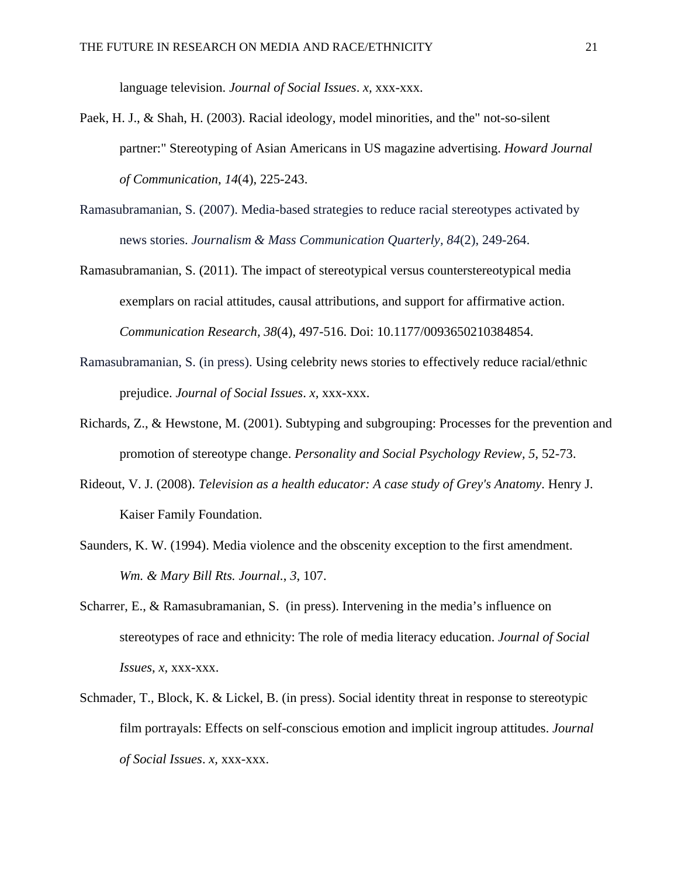language television. *Journal of Social Issues*. *x,* xxx-xxx.

- Paek, H. J., & Shah, H. (2003). Racial ideology, model minorities, and the" not-so-silent partner:" Stereotyping of Asian Americans in US magazine advertising. *Howard Journal of Communication*, *14*(4), 225-243.
- Ramasubramanian, S. (2007). Media-based strategies to reduce racial stereotypes activated by news stories. *Journalism & Mass Communication Quarterly, 84*(2), 249-264.
- Ramasubramanian, S. (2011). The impact of stereotypical versus counterstereotypical media exemplars on racial attitudes, causal attributions, and support for affirmative action. *Communication Research, 38*(4), 497-516. Doi: 10.1177/0093650210384854.
- Ramasubramanian, S. (in press). Using celebrity news stories to effectively reduce racial/ethnic prejudice. *Journal of Social Issues*. *x,* xxx-xxx.
- Richards, Z., & Hewstone, M. (2001). Subtyping and subgrouping: Processes for the prevention and promotion of stereotype change. *Personality and Social Psychology Review, 5*, 52-73.
- Rideout, V. J. (2008). *Television as a health educator: A case study of Grey's Anatomy*. Henry J. Kaiser Family Foundation.
- Saunders, K. W. (1994). Media violence and the obscenity exception to the first amendment. *Wm. & Mary Bill Rts. Journal.*, *3*, 107.
- Scharrer, E., & Ramasubramanian, S. (in press). Intervening in the media's influence on stereotypes of race and ethnicity: The role of media literacy education. *Journal of Social Issues*, *x,* xxx-xxx.
- Schmader, T., Block, K. & Lickel, B. (in press). Social identity threat in response to stereotypic film portrayals: Effects on self-conscious emotion and implicit ingroup attitudes. *Journal of Social Issues*. *x,* xxx-xxx.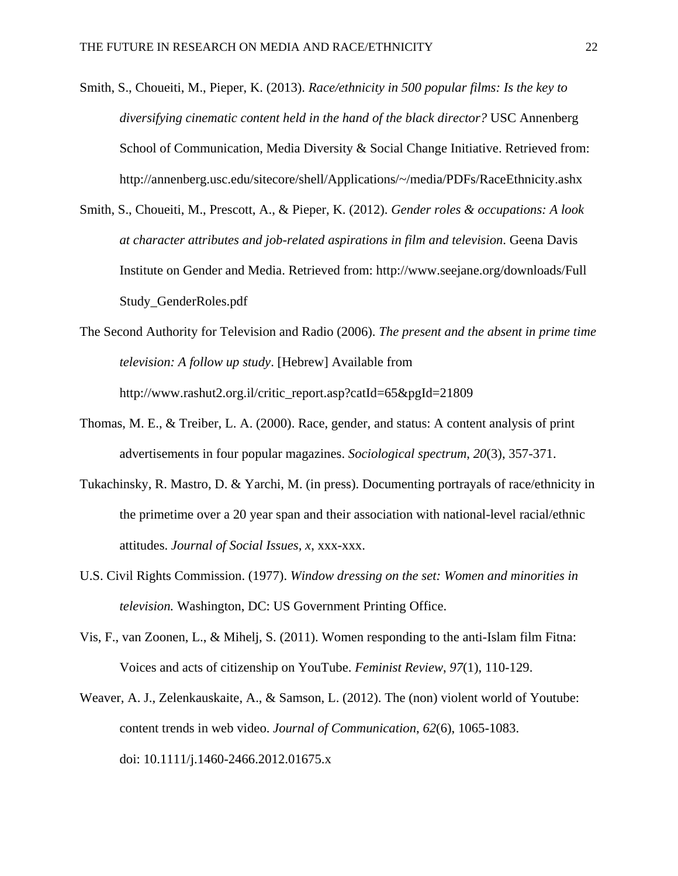- Smith, S., Choueiti, M., Pieper, K. (2013). *Race/ethnicity in 500 popular films: Is the key to diversifying cinematic content held in the hand of the black director?* USC Annenberg School of Communication, Media Diversity & Social Change Initiative. Retrieved from: http://annenberg.usc.edu/sitecore/shell/Applications/~/media/PDFs/RaceEthnicity.ashx
- Smith, S., Choueiti, M., Prescott, A., & Pieper, K. (2012). *Gender roles & occupations: A look at character attributes and job-related aspirations in film and television*. Geena Davis Institute on Gender and Media. Retrieved from: http://www.seejane.org/downloads/Full Study\_GenderRoles.pdf
- The Second Authority for Television and Radio (2006). *The present and the absent in prime time television: A follow up study*. [Hebrew] Available from http://www.rashut2.org.il/critic\_report.asp?catId=65&pgId=21809
- Thomas, M. E., & Treiber, L. A. (2000). Race, gender, and status: A content analysis of print advertisements in four popular magazines. *Sociological spectrum*, *20*(3), 357-371.
- Tukachinsky, R. Mastro, D. & Yarchi, M. (in press). Documenting portrayals of race/ethnicity in the primetime over a 20 year span and their association with national-level racial/ethnic attitudes. *Journal of Social Issues, x*, xxx-xxx.
- U.S. Civil Rights Commission. (1977). *Window dressing on the set: Women and minorities in television.* Washington, DC: US Government Printing Office.
- Vis, F., van Zoonen, L., & Mihelj, S. (2011). Women responding to the anti-Islam film Fitna: Voices and acts of citizenship on YouTube. *Feminist Review*, *97*(1), 110-129.
- Weaver, A. J., Zelenkauskaite, A., & Samson, L. (2012). The (non) violent world of Youtube: content trends in web video. *Journal of Communication*, *62*(6), 1065-1083. doi: 10.1111/j.1460-2466.2012.01675.x